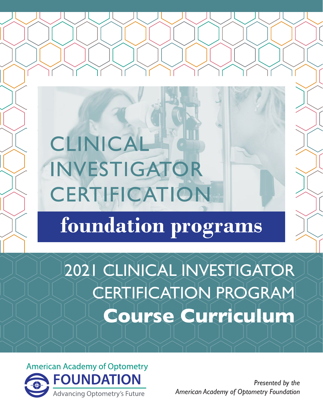# CLINICAL INVESTIGATOR CERTIFICATION

# foundation programs

## 2021 CLINICAL INVESTIGATOR CERTIFICATION PROGRAM **Course Curriculum**

**American Academy of Optometry FOUNDATION Advancing Optometry's Future** 

*Presented by the American Academy of Optometry Foundation*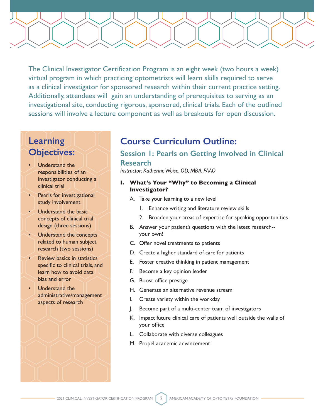The Clinical Investigator Certification Program is an eight week (two hours a week) virtual program in which practicing optometrists will learn skills required to serve as a clinical investigator for sponsored research within their current practice setting. Additionally, attendees will gain an understanding of prerequisites to serving as an investigational site, conducting rigorous, sponsored, clinical trials. Each of the outlined sessions will involve a lecture component as well as breakouts for open discussion.

## **Learning Objectives:**

- Understand the responsibilities of an investigator conducting a clinical trial
- **Pearls for investigational** study involvement
- Understand the basic concepts of clinical trial design (three sessions)
- Understand the concepts related to human subject research (two sessions)
- Review basics in statistics specific to clinical trials, and learn how to avoid data bias and error
- Understand the administrative/management aspects of research

## **Course Curriculum Outline:**

## **Session 1: Pearls on Getting Involved in Clinical Research**

*Instructor: Katherine Weise, OD, MBA, FAAO*

## **I. What's Your "Why" to Becoming a Clinical Investigator?**

- A. Take your learning to a new level
	- 1. Enhance writing and literature review skills
	- 2. Broaden your areas of expertise for speaking opportunities
- B. Answer your patient's questions with the latest research- your own!
- C. Offer novel treatments to patients
- D. Create a higher standard of care for patients
- E. Foster creative thinking in patient management
- F. Become a key opinion leader
- G. Boost office prestige
- H. Generate an alternative revenue stream
- I. Create variety within the workday
- J. Become part of a multi-center team of investigators
- K. Impact future clinical care of patients well outside the walls of your office
- L. Collaborate with diverse colleagues
- M. Propel academic advancement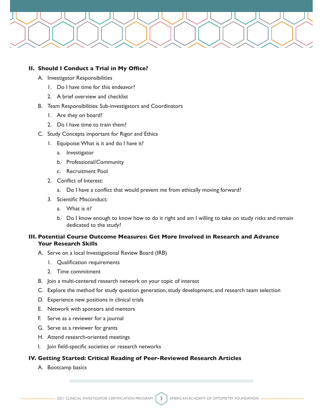

#### **II. Should I Conduct a Trial in My Office?**

- A. Investigator Responsibilities
	- 1. Do I have time for this endeavor?
	- 2. A brief overview and checklist
- B. Team Responsibilities: Sub-investigators and Coordinators
	- 1. Are they on board?
	- 2. Do I have time to train them?
- C. Study Concepts important for Rigor and Ethics
	- 1. Equipoise: What is it and do I have it?
		- a. Investigator
		- b. Professional/Community
		- c. Recruitment Pool
	- 2. Conflict of Interest:
		- a. Do I have a conflict that would prevent me from ethically moving forward?
	- 3. Scientific Misconduct:
		- a. What is it?
		- b. Do I know enough to know how to do it right and am I willing to take on study risks and remain dedicated to the study?

## **III. Potential Course Outcome Measures: Get More Involved in Research and Advance Your Research Skills**

- A. Serve on a local Investigational Review Board (IRB)
	- 1. Qualification requirements
	- 2. Time commitment
- B. Join a multi-centered research network on your topic of interest
- C. Explore the method for study question generation, study development, and research team selection
- D. Experience new positions in clinical trials
- E. Network with sponsors and mentors
- F. Serve as a reviewer for a journal
- G. Serve as a reviewer for grants
- H. Attend research-oriented meetings
- I. Join field-specific societies or research networks

## **IV. Getting Started: Critical Reading of Peer-Reviewed Research Articles**

A. Bootcamp basics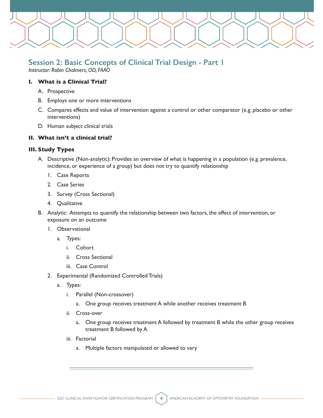

## **Session 2: Basic Concepts of Clinical Trial Design - Part 1**

*Instructor: Robin Chalmers, OD, FAAO*

## **I. What is a Clinical Trial?**

- A. Prospective
- B. Employs one or more interventions
- C. Compares effects and value of intervention against a control or other comparator (e.g. placebo or other interventions)
- D. Human subject clinical trials

## **II. What isn't a clinical trial?**

## **III. Study Types**

- A. Descriptive (Non-analytic): Provides an overview of what is happening in a population (e.g. prevalence, incidence, or experience of a group) but does not try to quantify relationship
	- 1. Case Reports
	- 2. Case Series
	- 3. Survey (Cross Sectional)
	- 4. Qualitative
- B. Analytic: Attempts to quantify the relationship between two factors, the effect of intervention, or exposure on an outcome
	- 1. Observational
		- a. Types:
			- i. Cohort
			- ii. Cross Sectional
			- iii. Case Control
	- 2. Experimental (Randomized Controlled Trials)
		- a. Types:
			- i. Parallel (Non-crossover)
				- a. One group receives treatment A while another receives treatment B
			- ii. Cross-over
				- a. One group receives treatment A followed by treatment B while the other group receives treatment B followed by A
			- iii. Factorial
				- a. Multiple factors manipulated or allowed to vary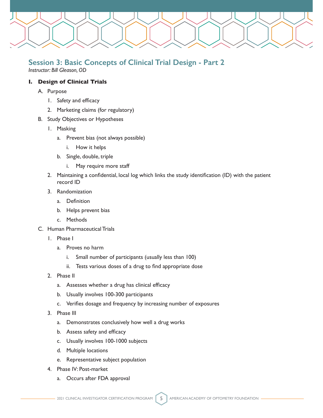

## **Session 3: Basic Concepts of Clinical Trial Design - Part 2**

*Instructor: Bill Gleason, OD*

## **I. Design of Clinical Trials**

- A. Purpose
	- 1. Safety and efficacy
	- 2. Marketing claims (for regulatory)
- B. Study Objectives or Hypotheses
	- 1. Masking
		- a. Prevent bias (not always possible)
			- i. How it helps
		- b. Single, double, triple
			- i. May require more staff
	- 2. Maintaining a confidential, local log which links the study identification (ID) with the patient record ID
	- 3. Randomization
		- a. Definition
		- b. Helps prevent bias
		- c. Methods
- C. Human Pharmaceutical Trials
	- 1. Phase I
		- a. Proves no harm
			- i. Small number of participants (usually less than 100)
			- ii. Tests various doses of a drug to find appropriate dose
	- 2. Phase II
		- a. Assesses whether a drug has clinical efficacy
		- b. Usually involves 100-300 participants
		- c. Verifies dosage and frequency by increasing number of exposures
	- 3. Phase III
		- a. Demonstrates conclusively how well a drug works
		- b. Assess safety and efficacy
		- c. Usually involves 100-1000 subjects
		- d. Multiple locations
		- e. Representative subject population
	- 4. Phase IV: Post-market
		- a. Occurs after FDA approval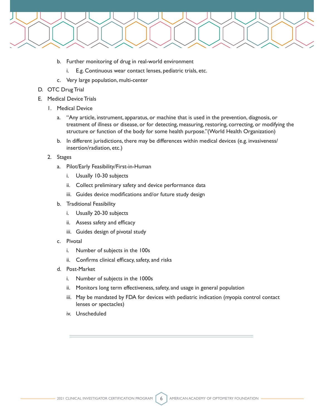

- b. Further monitoring of drug in real-world environment
	- i. E.g. Continuous wear contact lenses, pediatric trials, etc.
- c. Very large population, multi-center
- D. OTC Drug Trial
- E. Medical Device Trials
	- 1. Medical Device
		- a. "Any article, instrument, apparatus, or machine that is used in the prevention, diagnosis, or treatment of illness or disease, or for detecting, measuring, restoring, correcting, or modifying the structure or function of the body for some health purpose."(World Health Organization)
		- b. In different jurisdictions, there may be differences within medical devices (e.g. invasiveness/ insertion/radiation, etc.)
	- 2. Stages
		- a. Pilot/Early Feasibility/First-in-Human
			- i. Usually 10-30 subjects
			- ii. Collect preliminary safety and device performance data
			- iii. Guides device modifications and/or future study design
		- b. Traditional Feasibility
			- i. Usually 20-30 subjects
			- ii. Assess safety and efficacy
			- iii. Guides design of pivotal study
		- c. Pivotal
			- i. Number of subjects in the 100s
			- ii. Confirms clinical efficacy, safety, and risks
		- d. Post-Market
			- i. Number of subjects in the 1000s
			- ii. Monitors long term effectiveness, safety, and usage in general population
			- iii. May be mandated by FDA for devices with pediatric indication (myopia control contact lenses or spectacles)
			- iv. Unscheduled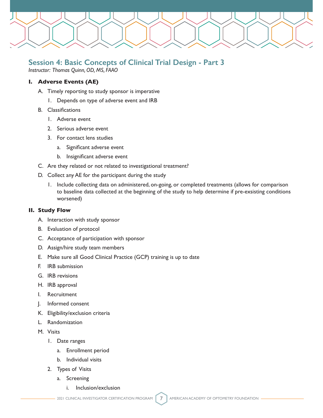

## **Session 4: Basic Concepts of Clinical Trial Design - Part 3**

*Instructor: Thomas Quinn, OD, MS, FAAO*

## **I. Adverse Events (AE)**

- A. Timely reporting to study sponsor is imperative
	- 1. Depends on type of adverse event and IRB
- B. Classifications
	- 1. Adverse event
	- 2. Serious adverse event
	- 3. For contact lens studies
		- a. Significant adverse event
		- b. Insignificant adverse event
- C. Are they related or not related to investigational treatment?
- D. Collect any AE for the participant during the study
	- 1. Include collecting data on administered, on-going, or completed treatments (allows for comparison to baseline data collected at the beginning of the study to help determine if pre-exsisting conditions worsened)

## **II. Study Flow**

- A. Interaction with study sponsor
- B. Evaluation of protocol
- C. Acceptance of participation with sponsor
- D. Assign/hire study team members
- E. Make sure all Good Clinical Practice (GCP) training is up to date
- F. IRB submission
- G. IRB revisions
- H. IRB approval
- I. Recruitment
- J. Informed consent
- K. Eligibility/exclusion criteria
- L. Randomization
- M. Visits
	- 1. Date ranges
		- a. Enrollment period
		- b. Individual visits
	- 2. Types of Visits
		- a. Screening
			- i. Inclusion/exclusion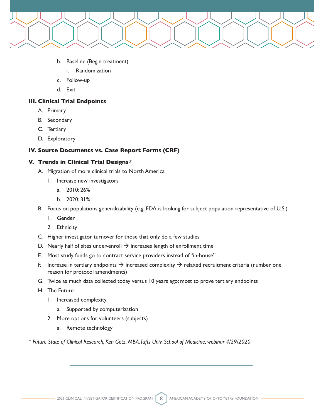

- b. Baseline (Begin treatment)
	- i. Randomization
- c. Follow-up
- d. Exit

## **III. Clinical Trial Endpoints**

- A. Primary
- B. Secondary
- C. Tertiary
- D. Exploratory

## **IV. Source Documents vs. Case Report Forms (CRF)**

#### **V. Trends in Clinical Trial Designs\***

- A. Migration of more clinical trials to North America
	- 1. Increase new investigators
		- a. 2010: 26%
		- b. 2020: 31%
- B. Focus on populations generalizability (e.g. FDA is looking for subject population representative of U.S.)
	- 1. Gender
	- 2. Ethnicity
- C. Higher investigator turnover for those that only do a few studies
- D. Nearly half of sites under-enroll  $\rightarrow$  increases length of enrollment time
- E. Most study funds go to contract service providers instead of "in-house"
- F. Increase in tertiary endpoints  $\rightarrow$  increased complexity  $\rightarrow$  relaxed recruitment criteria (number one reason for protocol amendments)
- G. Twice as much data collected today versus 10 years ago; most to prove tertiary endpoints
- H. The Future
	- 1. Increased complexity
		- a. Supported by computerization
	- 2. More options for volunteers (subjects)
		- a. Remote technology

*\* Future State of Clinical Research, Ken Getz, MBA, Tufts Univ. School of Medicine, webinar 4/29/2020*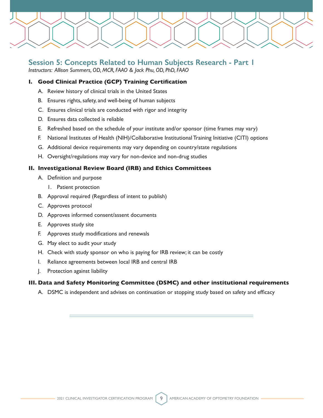

## **Session 5: Concepts Related to Human Subjects Research - Part 1**

*Instructors: Allison Summers, OD, MCR, FAAO & Jack Phu, OD, PhD, FAAO*

## **I. Good Clinical Practice (GCP) Training Certification**

- A. Review history of clinical trials in the United States
- B. Ensures rights, safety, and well-being of human subjects
- C. Ensures clinical trials are conducted with rigor and integrity
- D. Ensures data collected is reliable
- E. Refreshed based on the schedule of your institute and/or sponsor (time frames may vary)
- F. National Institutes of Health (NIH)/Collaborative Institutional Training Initiative (CITI) options
- G. Additional device requirements may vary depending on country/state regulations
- H. Oversight/regulations may vary for non-device and non-drug studies

## **II. Investigational Review Board (IRB) and Ethics Committees**

- A. Definition and purpose
	- 1. Patient protection
- B. Approval required (Regardless of intent to publish)
- C. Approves protocol
- D. Approves informed consent/assent documents
- E. Approves study site
- F. Approves study modifications and renewals
- G. May elect to audit your study
- H. Check with study sponsor on who is paying for IRB review; it can be costly
- I. Reliance agreements between local IRB and central IRB
- J. Protection against liability

## **III. Data and Safety Monitoring Committee (DSMC) and other institutional requirements**

A. DSMC is independent and advises on continuation or stopping study based on safety and efficacy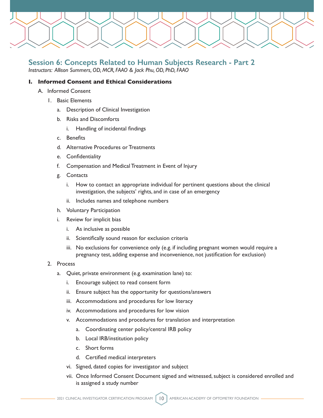

## **Session 6: Concepts Related to Human Subjects Research - Part 2**

*Instructors: Allison Summers, OD, MCR, FAAO & Jack Phu, OD, PhD, FAAO*

## **I. Informed Consent and Ethical Considerations**

- A. Informed Consent
	- 1. Basic Elements
		- a. Description of Clinical Investigation
		- b. Risks and Discomforts
			- i. Handling of incidental findings
		- c. Benefits
		- d. Alternative Procedures or Treatments
		- e. Confidentiality
		- f. Compensation and Medical Treatment in Event of Injury
		- g. Contacts
			- i. How to contact an appropriate individual for pertinent questions about the clinical investigation, the subjects' rights, and in case of an emergency
			- ii. Includes names and telephone numbers
		- h. Voluntary Participation
		- i. Review for implicit bias
			- i. As inclusive as possible
			- ii. Scientifically sound reason for exclusion criteria
			- iii. No exclusions for convenience only (e.g. if including pregnant women would require a pregnancy test, adding expense and inconvenience, not justification for exclusion)
	- 2. Process
		- a. Quiet, private environment (e.g. examination lane) to:
			- i. Encourage subject to read consent form
			- ii. Ensure subject has the opportunity for questions/answers
			- iii. Accommodations and procedures for low literacy
			- iv. Accommodations and procedures for low vision
			- v. Accommodations and procedures for translation and interpretation
				- a. Coordinating center policy/central IRB policy
				- b. Local IRB/institution policy
				- c. Short forms
				- d. Certified medical interpreters
			- vi. Signed, dated copies for investigator and subject
			- vii. Once Informed Consent Document signed and witnessed, subject is considered enrolled and is assigned a study number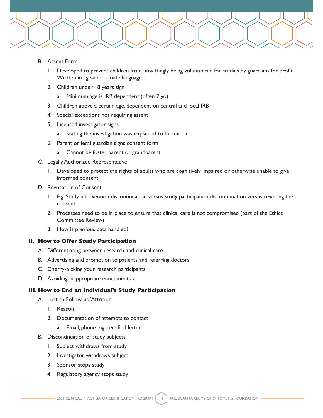

- B. Assent Form
	- 1. Developed to prevent children from unwittingly being volunteered for studies by guardians for profit. Written in age-appropriate language.
	- 2. Children under 18 years sign
		- a. Minimum age is IRB dependent (often 7 yo)
	- 3. Children above a certain age, dependent on central and local IRB
	- 4. Special exceptions not requiring assent
	- 5. Licensed investigator signs
		- a. Stating the investigation was explained to the minor
	- 6. Parent or legal guardian signs consent form
		- a. Cannot be foster parent or grandparent
- C. Legally Authorized Representative
	- 1. Developed to protect the rights of adults who are cognitively impaired or otherwise unable to give informed consent
- D. Revocation of Consent
	- 1. E.g. Study intervention discontinuation versus study participation discontinuation versus revoking the consent
	- 2. Processes need to be in place to ensure that clinical care is not compromised (part of the Ethics Committee Review)
	- 3. How is previous data handled?

## **II. How to Offer Study Participation**

- A. Differentiating between research and clinical care
- B. Advertising and promotion to patients and referring doctors
- C. Cherry-picking your research participants
- D. Avoiding inappropriate enticements z

## **III. How to End an Individual's Study Participation**

- A. Lost to Follow-up/Attrition
	- 1. Reason
	- 2. Documentation of attempts to contact
		- a. Email, phone log, certified letter
- B. Discontinuation of study subjects
	- 1. Subject withdraws from study
	- 2. Investigator withdraws subject
	- 3. Sponsor stops study
	- 4. Regulatory agency stops study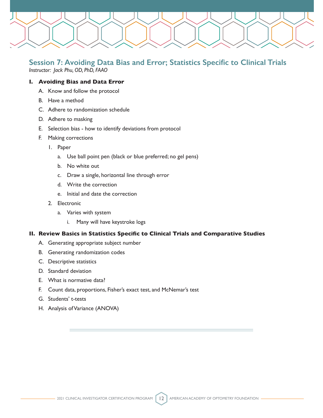

## **Session 7: Avoiding Data Bias and Error; Statistics Specific to Clinical Trials**

*Instructor: Jack Phu, OD, PhD, FAAO*

## **I. Avoiding Bias and Data Error**

- A. Know and follow the protocol
- B. Have a method
- C. Adhere to randomization schedule
- D. Adhere to masking
- E. Selection bias how to identify deviations from protocol
- F. Making corrections
	- 1. Paper
		- a. Use ball point pen (black or blue preferred; no gel pens)
		- b. No white out
		- c. Draw a single, horizontal line through error
		- d. Write the correction
		- e. Initial and date the correction
	- 2. Electronic
		- a. Varies with system
			- i. Many will have keystroke logs

## **II. Review Basics in Statistics Specific to Clinical Trials and Comparative Studies**

- A. Generating appropriate subject number
- B. Generating randomization codes
- C. Descriptive statistics
- D. Standard deviation
- E. What is normative data?
- F. Count data, proportions, Fisher's exact test, and McNemar's test
- G. Students' t-tests
- H. Analysis of Variance (ANOVA)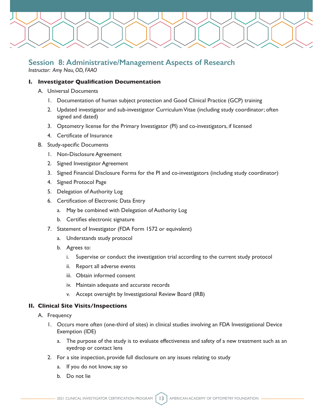

## **Session 8: Administrative/Management Aspects of Research**

*Instructor: Amy Nau, OD, FAAO*

## **I. Investigator Qualification Documentation**

- A. Universal Documents
	- 1. Documentation of human subject protection and Good Clinical Practice (GCP) training
	- 2. Updated investigator and sub-investigator Curriculum Vitae (including study coordinator; often signed and dated)
	- 3. Optometry license for the Primary Investigator (PI) and co-investigators, if licensed
	- 4. Certificate of Insurance
- B. Study-specific Documents
	- 1. Non-Disclosure Agreement
	- 2. Signed Investigator Agreement
	- 3. Signed Financial Disclosure Forms for the PI and co-investigators (including study coordinator)
	- 4. Signed Protocol Page
	- 5. Delegation of Authority Log
	- 6. Certification of Electronic Data Entry
		- a. May be combined with Delegation of Authority Log
		- b. Certifies electronic signature
	- 7. Statement of Investigator (FDA Form 1572 or equivalent)
		- a. Understands study protocol
		- b. Agrees to:
			- i. Supervise or conduct the investigation trial according to the current study protocol
			- ii. Report all adverse events
			- iii. Obtain informed consent
			- iv. Maintain adequate and accurate records
			- v. Accept oversight by Investigational Review Board (IRB)

## **II. Clinical Site Visits/Inspections**

- A. Frequency
	- 1. Occurs more often (one-third of sites) in clinical studies involving an FDA Investigational Device Exemption (IDE)
		- a. The purpose of the study is to evaluate effectiveness and safety of a new treatment such as an eyedrop or contact lens
	- 2. For a site inspection, provide full disclosure on any issues relating to study
		- a. If you do not know, say so
		- b. Do not lie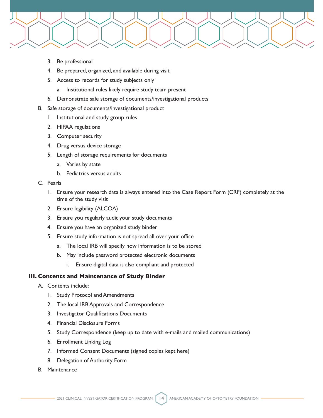

- 3. Be professional
- 4. Be prepared, organized, and available during visit
- 5. Access to records for study subjects only
	- a. Institutional rules likely require study team present
- 6. Demonstrate safe storage of documents/investigational products
- B. Safe storage of documents/investigational product
	- 1. Institutional and study group rules
	- 2. HIPAA regulations
	- 3. Computer security
	- 4. Drug versus device storage
	- 5. Length of storage requirements for documents
		- a. Varies by state
		- b. Pediatrics versus adults
- C. Pearls
	- 1. Ensure your research data is always entered into the Case Report Form (CRF) completely at the time of the study visit
	- 2. Ensure legibility (ALCOA)
	- 3. Ensure you regularly audit your study documents
	- 4. Ensure you have an organized study binder
	- 5. Ensure study information is not spread all over your office
		- a. The local IRB will specify how information is to be stored
		- b. May include password protected electronic documents
			- i. Ensure digital data is also compliant and protected

## **III. Contents and Maintenance of Study Binder**

- A. Contents include:
	- 1. Study Protocol and Amendments
	- 2. The local IRB Approvals and Correspondence
	- 3. Investigator Qualifications Documents
	- 4. Financial Disclosure Forms
	- 5. Study Correspondence (keep up to date with e-mails and mailed communications)
	- 6. Enrollment Linking Log
	- 7. Informed Consent Documents (signed copies kept here)
	- 8. Delegation of Authority Form
- B. Maintenance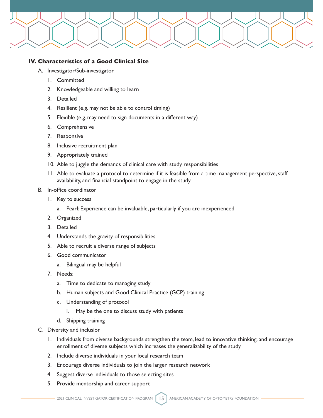

## **IV. Characteristics of a Good Clinical Site**

- A. Investigator/Sub-investigator
	- 1. Committed
	- 2. Knowledgeable and willing to learn
	- 3. Detailed
	- 4. Resilient (e.g. may not be able to control timing)
	- 5. Flexible (e.g. may need to sign documents in a different way)
	- 6. Comprehensive
	- 7. Responsive
	- 8. Inclusive recruitment plan
	- 9. Appropriately trained
	- 10. Able to juggle the demands of clinical care with study responsibilities
	- 11. Able to evaluate a protocol to determine if it is feasible from a time management perspective, staff availability, and financial standpoint to engage in the study
- B. In-office coordinator
	- 1. Key to success
		- a. Pearl: Experience can be invaluable, particularly if you are inexperienced
	- 2. Organized
	- 3. Detailed
	- 4. Understands the gravity of responsibilities
	- 5. Able to recruit a diverse range of subjects
	- 6. Good communicator
		- a. Bilingual may be helpful
	- 7. Needs:
		- a. Time to dedicate to managing study
		- b. Human subjects and Good Clinical Practice (GCP) training
		- c. Understanding of protocol
			- i. May be the one to discuss study with patients
		- d. Shipping training
- C. Diversity and inclusion
	- 1. Individuals from diverse backgrounds strengthen the team, lead to innovative thinking, and encourage enrollment of diverse subjects which increases the generalizability of the study
	- 2. Include diverse individuals in your local research team
	- 3. Encourage diverse individuals to join the larger research network
	- 4. Suggest diverse individuals to those selecting sites
	- 5. Provide mentorship and career support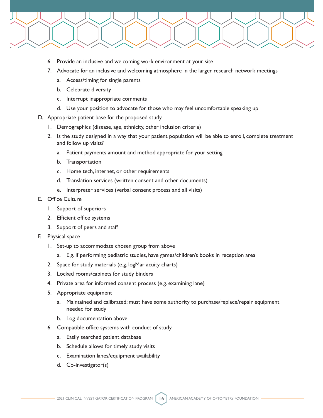

- 6. Provide an inclusive and welcoming work environment at your site
- 7. Advocate for an inclusive and welcoming atmosphere in the larger research network meetings
	- a. Access/timing for single parents
	- b. Celebrate diversity
	- c. Interrupt inappropriate comments
	- d. Use your position to advocate for those who may feel uncomfortable speaking up
- D. Appropriate patient base for the proposed study
	- 1. Demographics (disease, age, ethnicity, other inclusion criteria)
	- 2. Is the study designed in a way that your patient population will be able to enroll, complete treatment and follow up visits?
		- a. Patient payments amount and method appropriate for your setting
		- b. Transportation
		- c. Home tech, internet, or other requirements
		- d. Translation services (written consent and other documents)
		- e. Interpreter services (verbal consent process and all visits)

#### E. Office Culture

- 1. Support of superiors
- 2. Efficient office systems
- 3. Support of peers and staff
- F. Physical space
	- 1. Set-up to accommodate chosen group from above
		- a. E.g. If performing pediatric studies, have games/children's books in reception area
	- 2. Space for study materials (e.g. logMar acuity charts)
	- 3. Locked rooms/cabinets for study binders
	- 4. Private area for informed consent process (e.g. examining lane)
	- 5. Appropriate equipment
		- a. Maintained and calibrated; must have some authority to purchase/replace/repair equipment needed for study
		- b. Log documentation above
	- 6. Compatible office systems with conduct of study
		- a. Easily searched patient database
		- b. Schedule allows for timely study visits
		- c. Examination lanes/equipment availability
		- d. Co-investigator(s)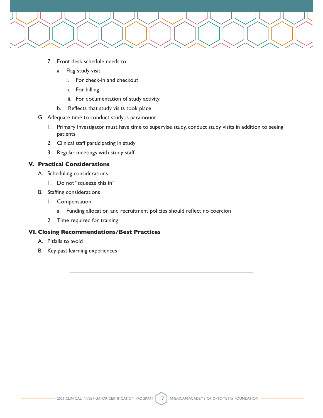

- 7. Front desk schedule needs to:
	- a. Flag study visit:
		- i. For check-in and checkout
		- ii. For billing
		- iii. For documentation of study activity
	- b. Reflects that study visits took place
- G. Adequate time to conduct study is paramount
	- 1. Primary Investigator must have time to supervise study, conduct study visits in addition to seeing patients
	- 2. Clinical staff participating in study
	- 3. Regular meetings with study staff

## **V. Practical Considerations**

- A. Scheduling considerations
	- 1. Do not "squeeze this in"
- B. Staffing considerations
	- 1. Compensation
		- a. Funding allocation and recruitment policies should reflect no coercion
	- 2. Time required for training

## **VI. Closing Recommendations/Best Practices**

- A. Pitfalls to avoid
- B. Key past learning experiences